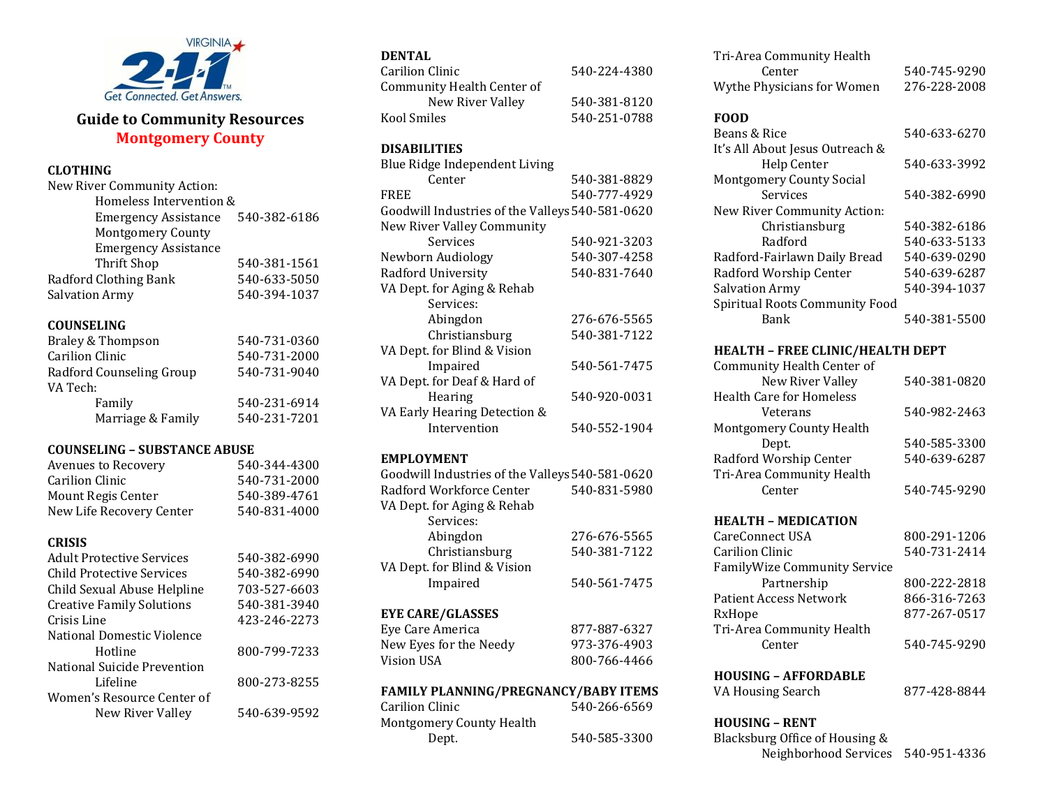

# **Guide to Community Resources Montgomery County**

# **CLOTHING**

| 540-382-6186 |
|--------------|
|              |
|              |
| 540-381-1561 |
| 540-633-5050 |
| 540-394-1037 |
|              |

#### **COUNSELING**

| Braley & Thompson        | 540-731-0360 |
|--------------------------|--------------|
| Carilion Clinic          | 540-731-2000 |
| Radford Counseling Group | 540-731-9040 |
| VA Tech:                 |              |
| Family                   | 540-231-6914 |
| Marriage & Family        | 540-231-7201 |

### **COUNSELING – SUBSTANCE ABUSE**

| Avenues to Recovery      | 540-344-4300 |
|--------------------------|--------------|
| Carilion Clinic          | 540-731-2000 |
| Mount Regis Center       | 540-389-4761 |
| New Life Recovery Center | 540-831-4000 |

#### **CRISIS**

| <b>Adult Protective Services</b> | 540-382-6990 |
|----------------------------------|--------------|
| Child Protective Services        | 540-382-6990 |
| Child Sexual Abuse Helpline      | 703-527-6603 |
| <b>Creative Family Solutions</b> | 540-381-3940 |
| Crisis Line                      | 423-246-2273 |
| National Domestic Violence       |              |
| Hotline                          | 800-799-7233 |
| National Suicide Prevention      |              |
| Lifeline                         | 800-273-8255 |
| Women's Resource Center of       |              |
| New River Valley                 | 540-639-9592 |
|                                  |              |

### **DENTAL**

| Carilion Clinic            | 540-224-4380 |
|----------------------------|--------------|
| Community Health Center of |              |
| New River Valley           | 540-381-8120 |
| Kool Smiles                | 540-251-0788 |

### **DISABILITIES**

| 540-381-8829                                    |
|-------------------------------------------------|
| 540-777-4929                                    |
| Goodwill Industries of the Valleys 540-581-0620 |
|                                                 |
| 540-921-3203                                    |
| 540-307-4258                                    |
| 540-831-7640                                    |
|                                                 |
|                                                 |
| 276-676-5565                                    |
| 540-381-7122                                    |
|                                                 |
| 540-561-7475                                    |
|                                                 |
| 540-920-0031                                    |
|                                                 |
| 540-552-1904                                    |
|                                                 |

### **EMPLOYMENT**

| Goodwill Industries of the Valleys 540-581-0620 |              |
|-------------------------------------------------|--------------|
| Radford Workforce Center                        | 540-831-5980 |
| VA Dept. for Aging & Rehab                      |              |
| Services:                                       |              |
| Abingdon                                        | 276-676-5565 |
| Christiansburg                                  | 540-381-7122 |
| VA Dept. for Blind & Vision                     |              |
| Impaired                                        | 540-561-7475 |
| <b>EYE CARE/GLASSES</b>                         |              |
| Eye Care America                                | 877-887-6327 |
| New Eyes for the Needy                          | 973-376-4903 |
| Vision USA                                      | 800-766-4466 |

### **FAMILY PLANNING/PREGNANCY/BABY ITEMS**

| 540-266-6569 |
|--------------|
|              |
| 540-585-3300 |
|              |

| Tri-Area Community Health  |              |
|----------------------------|--------------|
| Center                     | 540-745-9290 |
| Wythe Physicians for Women | 276-228-2008 |

### **FOOD**

| гоон                            |              |
|---------------------------------|--------------|
| Beans & Rice                    | 540-633-6270 |
| It's All About Jesus Outreach & |              |
| <b>Help Center</b>              | 540-633-3992 |
| <b>Montgomery County Social</b> |              |
| Services                        | 540-382-6990 |
| New River Community Action:     |              |
| Christiansburg                  | 540-382-6186 |
| Radford                         | 540-633-5133 |
| Radford-Fairlawn Daily Bread    | 540-639-0290 |
| Radford Worship Center          | 540-639-6287 |
| Salvation Army                  | 540-394-1037 |
| Spiritual Roots Community Food  |              |
| Bank                            | 540-381-5500 |

### **HEALTH – FREE CLINIC/HEALTH DEPT**

| Community Health Center of      |              |
|---------------------------------|--------------|
| New River Valley                | 540-381-0820 |
| <b>Health Care for Homeless</b> |              |
| Veterans                        | 540-982-2463 |
| <b>Montgomery County Health</b> |              |
| Dept.                           | 540-585-3300 |
| Radford Worship Center          | 540-639-6287 |
| Tri-Area Community Health       |              |
| Center                          | 540-745-9290 |

### **HEALTH – MEDICATION**

| CareConnect USA                     | 800-291-1206 |
|-------------------------------------|--------------|
| <b>Carilion Clinic</b>              | 540-731-2414 |
| <b>FamilyWize Community Service</b> |              |
| Partnership                         | 800-222-2818 |
| <b>Patient Access Network</b>       | 866-316-7263 |
| RxHope                              | 877-267-0517 |
| Tri-Area Community Health           |              |
| Center                              | 540-745-9290 |
|                                     |              |

### **HOUSING – AFFORDABLE**

VA Housing Search 877-428-8844

### **HOUSING – RENT**

Blacksburg Office of Housing & Neighborhood Services 540-951-4336